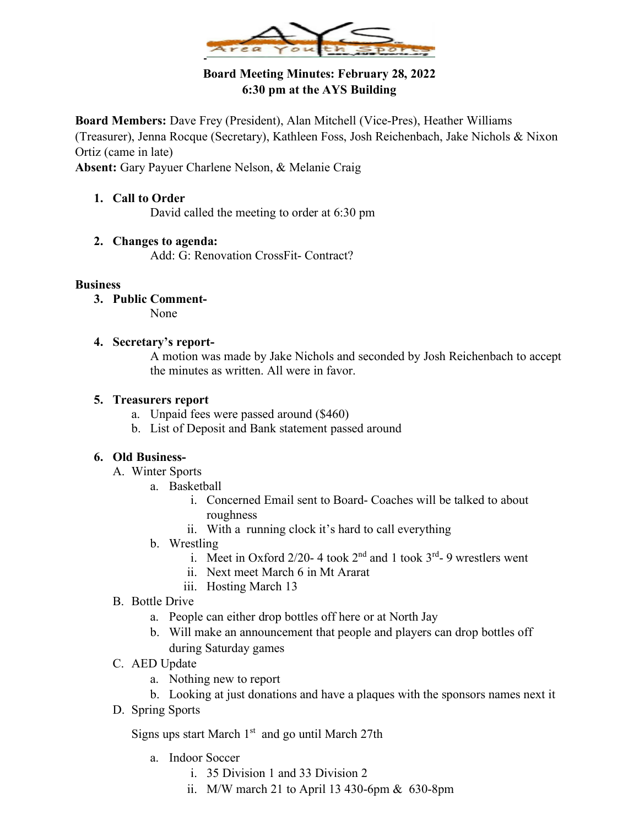

# **Board Meeting Minutes: February 28, 2022 6:30 pm at the AYS Building**

**Board Members:** Dave Frey (President), Alan Mitchell (Vice-Pres), Heather Williams (Treasurer), Jenna Rocque (Secretary), Kathleen Foss, Josh Reichenbach, Jake Nichols & Nixon Ortiz (came in late)

**Absent:** Gary Payuer Charlene Nelson, & Melanie Craig

**1. Call to Order** David called the meeting to order at 6:30 pm

## **2. Changes to agenda:**

Add: G: Renovation CrossFit- Contract?

### **Business**

- **3. Public Comment-**None
	-
- **4. Secretary's report-**

A motion was made by Jake Nichols and seconded by Josh Reichenbach to accept the minutes as written. All were in favor.

## **5. Treasurers report**

- a. Unpaid fees were passed around (\$460)
- b. List of Deposit and Bank statement passed around

## **6. Old Business-**

- A. Winter Sports
	- a. Basketball
		- i. Concerned Email sent to Board- Coaches will be talked to about roughness
		- ii. With a running clock it's hard to call everything
	- b. Wrestling
		- i. Meet in Oxford 2/20-4 took  $2<sup>nd</sup>$  and 1 took  $3<sup>rd</sup>$ -9 wrestlers went
		- ii. Next meet March 6 in Mt Ararat
		- iii. Hosting March 13
- B. Bottle Drive
	- a. People can either drop bottles off here or at North Jay
	- b. Will make an announcement that people and players can drop bottles off during Saturday games
- C. AED Update
	- a. Nothing new to report
	- b. Looking at just donations and have a plaques with the sponsors names next it
- D. Spring Sports

Signs ups start March 1<sup>st</sup> and go until March 27th

- a. Indoor Soccer
	- i. 35 Division 1 and 33 Division 2
	- ii. M/W march 21 to April 13 430-6pm & 630-8pm